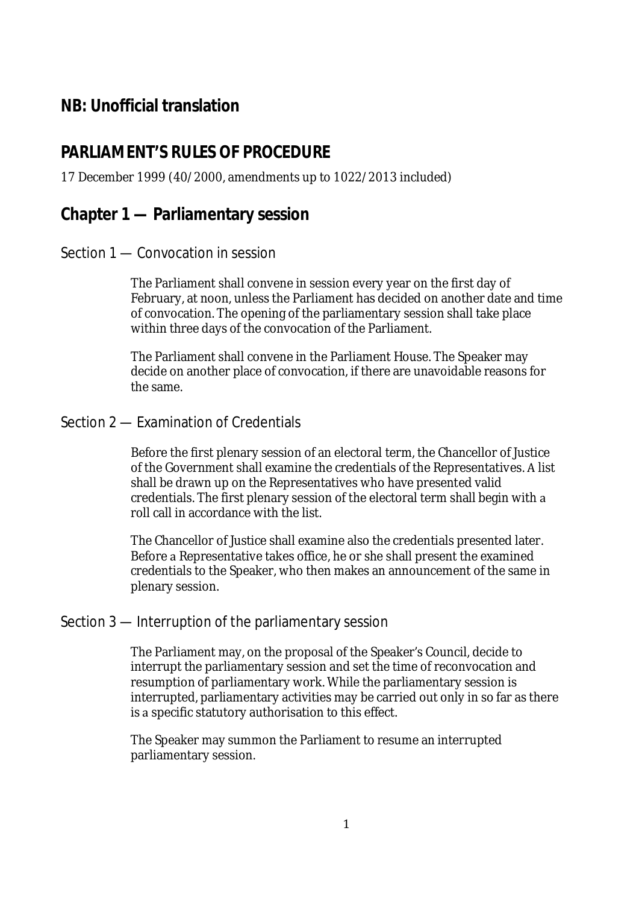# **NB: Unofficial translation**

# **PARLIAMENT'S RULES OF PROCEDURE**

### 17 December 1999 (40/2000, amendments up to 1022/2013 included)

# **Chapter 1 — Parliamentary session**

### Section 1 — Convocation in session

The Parliament shall convene in session every year on the first day of February, at noon, unless the Parliament has decided on another date and time of convocation. The opening of the parliamentary session shall take place within three days of the convocation of the Parliament.

The Parliament shall convene in the Parliament House. The Speaker may decide on another place of convocation, if there are unavoidable reasons for the same.

### Section 2 — Examination of Credentials

Before the first plenary session of an electoral term, the Chancellor of Justice of the Government shall examine the credentials of the Representatives. A list shall be drawn up on the Representatives who have presented valid credentials. The first plenary session of the electoral term shall begin with roll call in accordance with the list.

The Chancellor of Justice shall examine also the credentials presented later. Before a Representative takes office, he or she shall present the examined credentials to the Speaker, who then makes an announcement of the same in plenary session.

# Section 3 — Interruption of the parliamentary session

The Parliament may, on the proposal of the Speaker's Council, decide to interrupt the parliamentary session and set the time of reconvocation and resumption of parliamentary work. While the parliamentary session is interrupted, parliamentary activities may be carried out only in so far as there is a specific statutory authorisation to this effect.

The Speaker may summon the Parliament to resume an interrupted parliamentary session.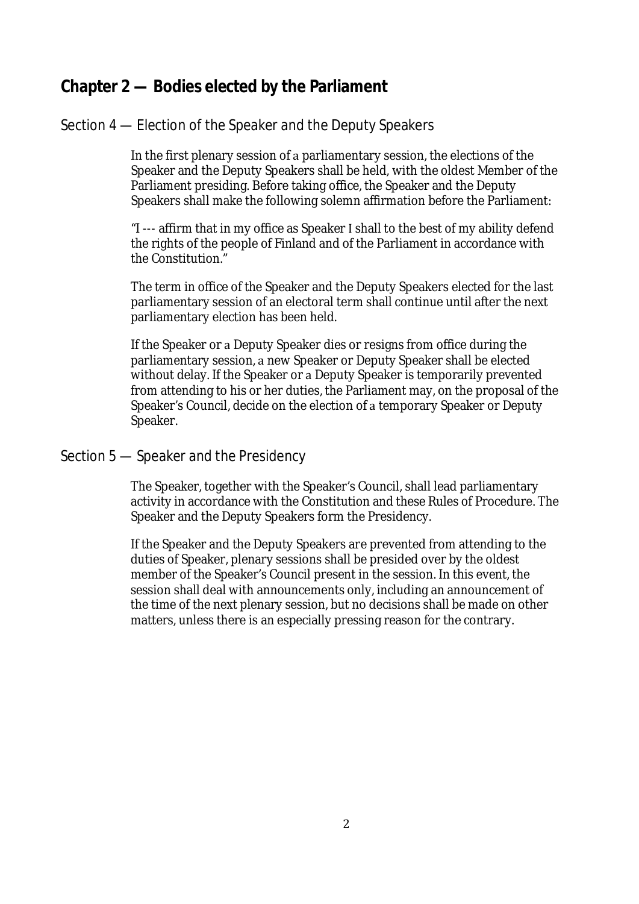# **Chapter 2 — Bodies elected by the Parliament**

# Section 4 — Election of the Speaker and the Deputy Speakers

In the first plenary session of a parliamentary session, the elections of the Speaker and the Deputy Speakers shall be held, with the oldest Member of the Parliament presiding. Before taking office, the Speaker and the Deputy Speakers shall make the following solemn affirmation before the Parliament:

"I --- affirm that in my office as Speaker I shall to the best of my ability defend the rights of the people of Finland and of the Parliament in accordance with the Constitution."

The term in office of the Speaker and the Deputy Speakers elected for the last parliamentary session of an electoral term shall continue until after the next parliamentary election has been held.

If the Speaker or a Deputy Speaker dies or resigns from office during the parliamentary session, a new Speaker or Deputy Speaker shall be elected without delay. If the Speaker or a Deputy Speaker is temporarily prevented from attending to his or her duties, the Parliament may, on the proposal of the Speaker's Council, decide on the election of a temporary Speaker or Deputy Speaker.

# Section 5 — Speaker and the Presidency

The Speaker, together with the Speaker's Council, shall lead parliamentary activity in accordance with the Constitution and these Rules of Procedure. The Speaker and the Deputy Speakers form the Presidency.

If the Speaker and the Deputy Speakers are prevented from attending to the duties of Speaker, plenary sessions shall be presided over by the oldest member of the Speaker's Council present in the session. In this event, the session shall deal with announcements only, including an announcement of the time of the next plenary session, but no decisions shall be made on other matters, unless there is an especially pressing reason for the contrary.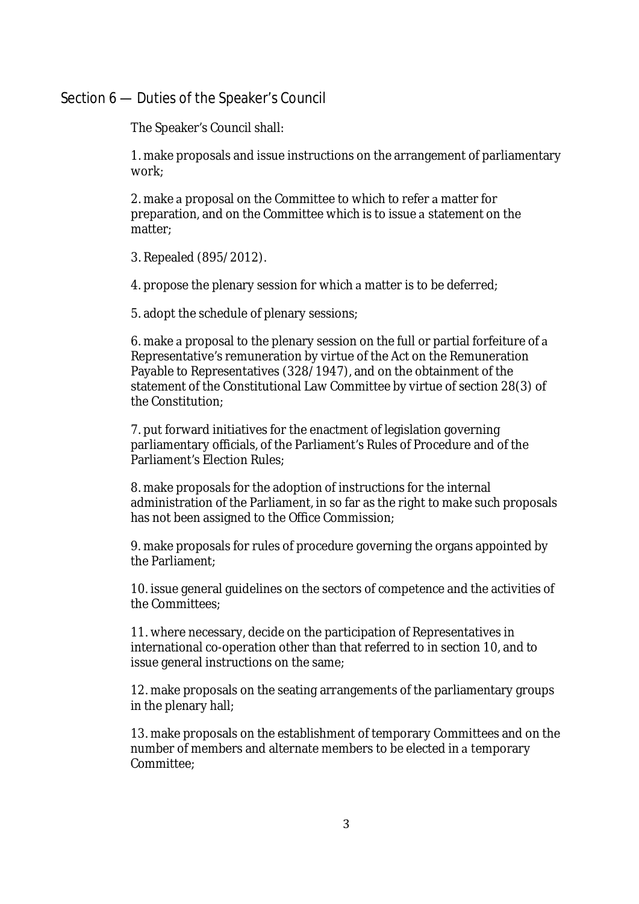### Section 6 — Duties of the Speaker's Council

The Speaker's Council shall:

1. make proposals and issue instructions on the arrangement of parliamentary work;

2. make a proposal on the Committee to which to refer a matter for preparation, and on the Committee which is to issue a statement on the matter;

3. Repealed (895/2012).

4. propose the plenary session for which a matter is to be deferred;

5. adopt the schedule of plenary sessions;

6. make a proposal to the plenary session on the full or partial forfeiture of a Representative's remuneration by virtue of the Act on the Remuneration Payable to Representatives (328/1947), and on the obtainment of the statement of the Constitutional Law Committee by virtue of section 28(3) of the Constitution;

7. put forward initiatives for the enactment of legislation governing parliamentary officials, of the Parliament's Rules of Procedure and of the Parliament's Election Rules;

8. make proposals for the adoption of instructions for the internal administration of the Parliament, in so far as the right to make such proposals has not been assigned to the Office Commission;

9. make proposals for rules of procedure governing the organs appointed by the Parliament;

10. issue general guidelines on the sectors of competence and the activities of the Committees;

11. where necessary, decide on the participation of Representatives in international co-operation other than that referred to in section 10, and to issue general instructions on the same;

12. make proposals on the seating arrangements of the parliamentary groups in the plenary hall;

13. make proposals on the establishment of temporary Committees and on the number of members and alternate members to be elected in a temporary Committee<sup>.</sup>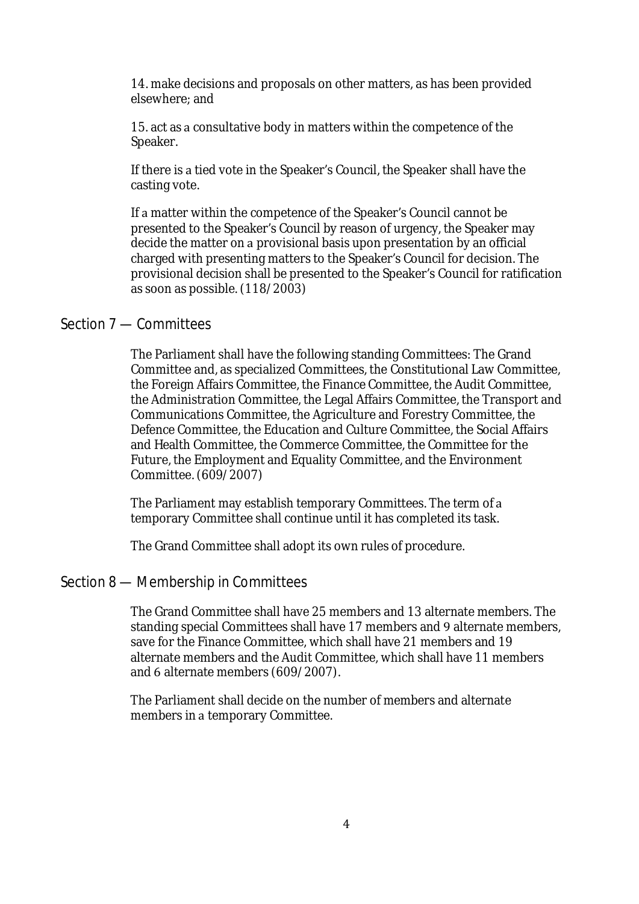14. make decisions and proposals on other matters, as has been provided elsewhere; and

15. act as a consultative body in matters within the competence of the Speaker.

If there is a tied vote in the Speaker's Council, the Speaker shall have the casting vote.

If a matter within the competence of the Speaker's Council cannot be presented to the Speaker's Council by reason of urgency, the Speaker may decide the matter on a provisional basis upon presentation by an official charged with presenting matters to the Speaker's Council for decision. The provisional decision shall be presented to the Speaker's Council for ratification as soon as possible. (118/2003)

# Section 7 — Committees

The Parliament shall have the following standing Committees: The Grand Committee and, as specialized Committees, the Constitutional Law Committee, the Foreign Affairs Committee, the Finance Committee, the Audit Committee, the Administration Committee, the Legal Affairs Committee, the Transport and Communications Committee, the Agriculture and Forestry Committee, the Defence Committee, the Education and Culture Committee, the Social Affairs and Health Committee, the Commerce Committee, the Committee for the Future, the Employment and Equality Committee, and the Environment Committee. (609/2007)

The Parliament may establish temporary Committees. The term of temporary Committee shall continue until it has completed its task.

The Grand Committee shall adopt its own rules of procedure.

# Section 8 — Membership in Committees

The Grand Committee shall have 25 members and 13 alternate members. The standing special Committees shall have 17 members and 9 alternate members, save for the Finance Committee, which shall have 21 members and 19 alternate members and the Audit Committee, which shall have 11 members and 6 alternate members (609/2007).

The Parliament shall decide on the number of members and alternate members in a temporary Committee.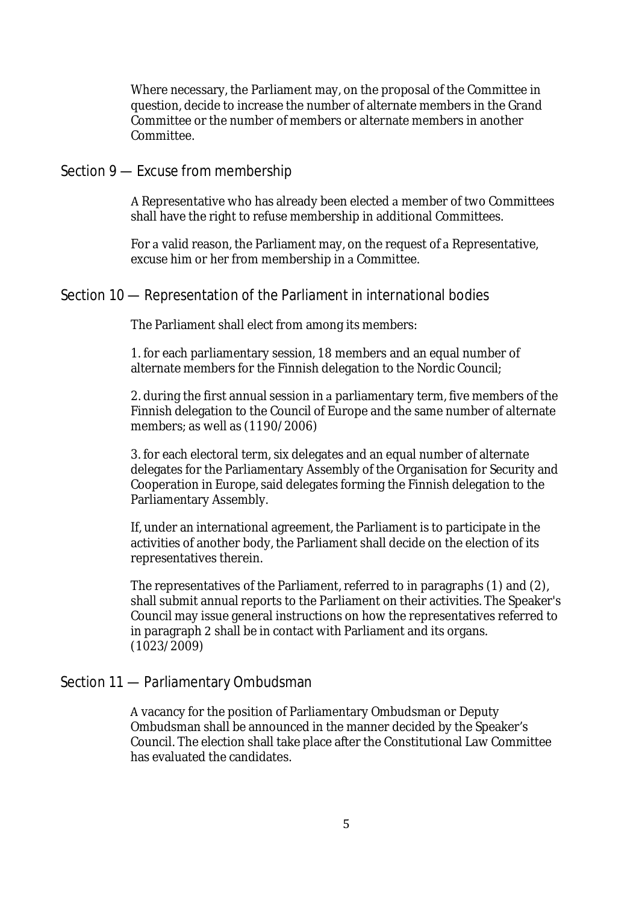Where necessary, the Parliament may, on the proposal of the Committee in question, decide to increase the number of alternate members in the Grand Committee or the number of members or alternate members in another Committee.

### Section 9 — Excuse from membership

A Representative who has already been elected a member of two Committees shall have the right to refuse membership in additional Committees.

For a valid reason, the Parliament may, on the request of a Representative, excuse him or her from membership in a Committee.

#### Section 10 — Representation of the Parliament in international bodies

The Parliament shall elect from among its members:

1. for each parliamentary session, 18 members and an equal number of alternate members for the Finnish delegation to the Nordic Council;

2. during the first annual session in a parliamentary term, five members of the Finnish delegation to the Council of Europe and the same number of alternate members; as well as (1190/2006)

3. for each electoral term, six delegates and an equal number of alternate delegates for the Parliamentary Assembly of the Organisation for Security and Cooperation in Europe, said delegates forming the Finnish delegation to the Parliamentary Assembly.

If, under an international agreement, the Parliament is to participate in the activities of another body, the Parliament shall decide on the election of its representatives therein.

The representatives of the Parliament, referred to in paragraphs (1) and (2), shall submit annual reports to the Parliament on their activities. The Speaker's Council may issue general instructions on how the representatives referred to in paragraph 2 shall be in contact with Parliament and its organs. (1023/2009)

### Section 11 — Parliamentary Ombudsman

A vacancy for the position of Parliamentary Ombudsman or Deputy Ombudsman shall be announced in the manner decided by the Speaker's Council. The election shall take place after the Constitutional Law Committee has evaluated the candidates.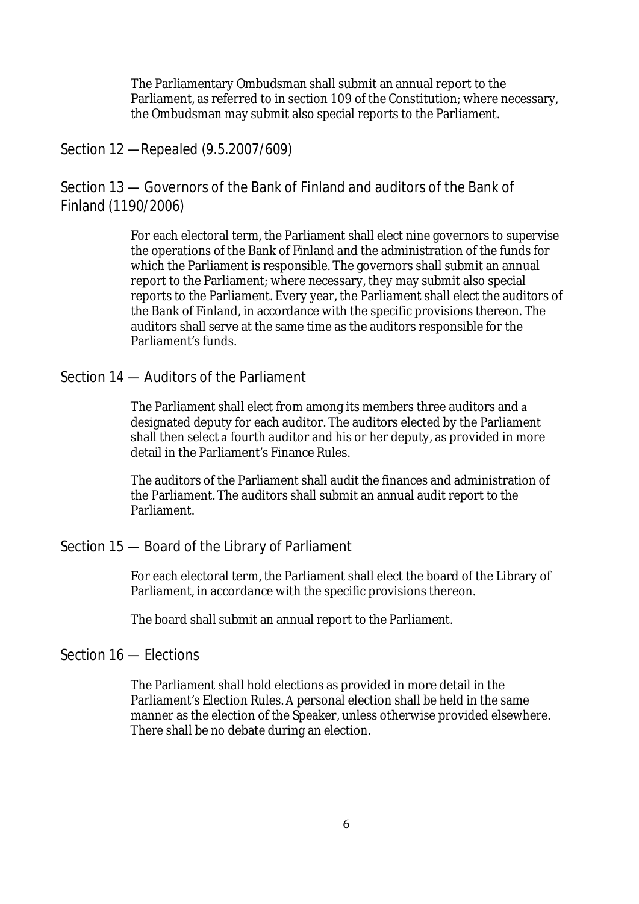The Parliamentary Ombudsman shall submit an annual report to the Parliament, as referred to in section 109 of the Constitution; where necessary, the Ombudsman may submit also special reports to the Parliament.

# Section 12 —Repealed (9.5.2007/609)

Section 13 — Governors of the Bank of Finland and auditors of the Bank of Finland (1190/2006)

> For each electoral term, the Parliament shall elect nine governors to supervise the operations of the Bank of Finland and the administration of the funds for which the Parliament is responsible. The governors shall submit an annual report to the Parliament; where necessary, they may submit also special reports to the Parliament. Every year, the Parliament shall elect the auditors of the Bank of Finland, in accordance with the specific provisions thereon. The auditors shall serve at the same time as the auditors responsible for the Parliament's funds.

### Section 14 — Auditors of the Parliament

The Parliament shall elect from among its members three auditors and a designated deputy for each auditor. The auditors elected by the Parliament shall then select a fourth auditor and his or her deputy, as provided in more detail in the Parliament's Finance Rules.

The auditors of the Parliament shall audit the finances and administration of the Parliament. The auditors shall submit an annual audit report to the Parliament.

# Section 15 — Board of the Library of Parliament

For each electoral term, the Parliament shall elect the board of the Library of Parliament, in accordance with the specific provisions thereon.

The board shall submit an annual report to the Parliament.

# Section 16 — Elections

The Parliament shall hold elections as provided in more detail in the Parliament's Election Rules. A personal election shall be held in the same manner as the election of the Speaker, unless otherwise provided elsewhere. There shall be no debate during an election.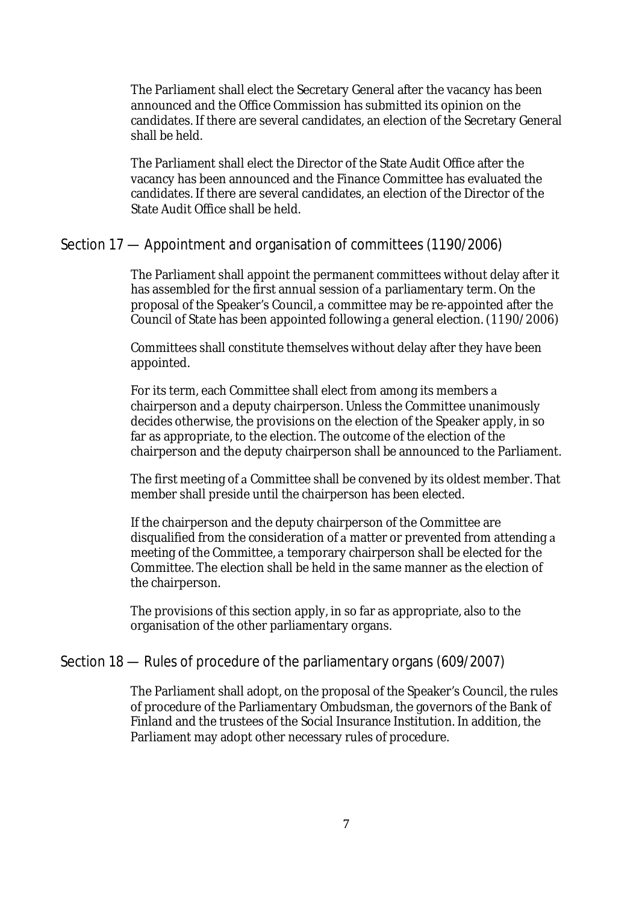The Parliament shall elect the Secretary General after the vacancy has been announced and the Office Commission has submitted its opinion on the candidates. If there are several candidates, an election of the Secretary General shall be held.

The Parliament shall elect the Director of the State Audit Office after the vacancy has been announced and the Finance Committee has evaluated the candidates. If there are several candidates, an election of the Director of the State Audit Office shall be held.

# Section 17 — Appointment and organisation of committees (1190/2006)

The Parliament shall appoint the permanent committees without delay after it has assembled for the first annual session of a parliamentary term. On the proposal of the Speaker's Council, a committee may be re-appointed after the Council of State has been appointed following a general election. (1190/2006)

Committees shall constitute themselves without delay after they have been appointed.

For its term, each Committee shall elect from among its members chairperson and a deputy chairperson. Unless the Committee unanimously decides otherwise, the provisions on the election of the Speaker apply, in so far as appropriate, to the election. The outcome of the election of the chairperson and the deputy chairperson shall be announced to the Parliament.

The first meeting of a Committee shall be convened by its oldest member. That member shall preside until the chairperson has been elected.

If the chairperson and the deputy chairperson of the Committee are disqualified from the consideration of a matter or prevented from attending a meeting of the Committee, a temporary chairperson shall be elected for the Committee. The election shall be held in the same manner as the election of the chairperson.

The provisions of this section apply, in so far as appropriate, also to the organisation of the other parliamentary organs.

# Section 18 — Rules of procedure of the parliamentary organs (609/2007)

The Parliament shall adopt, on the proposal of the Speaker's Council, the rules of procedure of the Parliamentary Ombudsman, the governors of the Bank of Finland and the trustees of the Social Insurance Institution. In addition, the Parliament may adopt other necessary rules of procedure.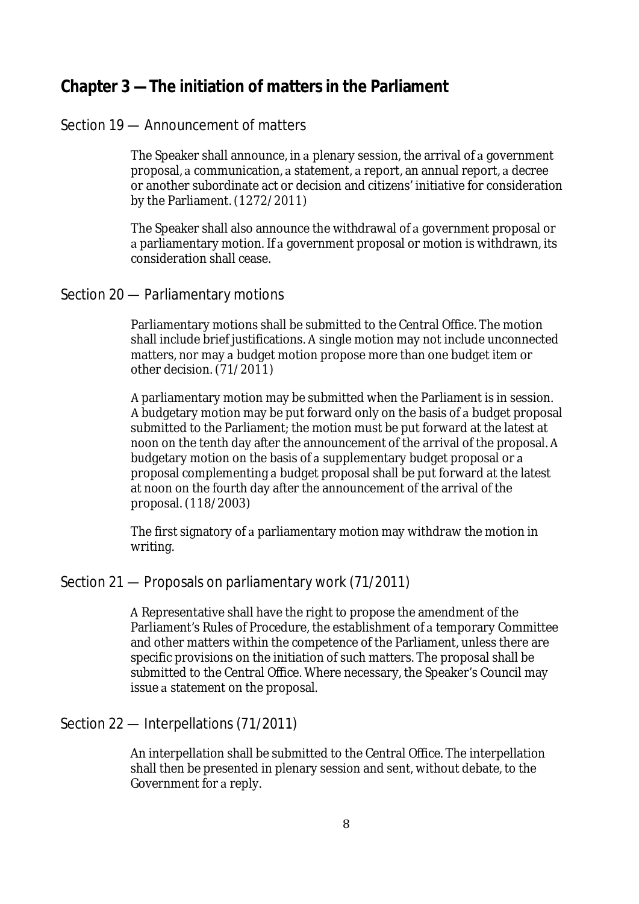# **Chapter 3 —The initiation of matters in the Parliament**

# Section 19 — Announcement of matters

The Speaker shall announce, in a plenary session, the arrival of a government proposal, a communication, a statement, a report, an annual report, a decree or another subordinate act or decision and citizens' initiative for consideration by the Parliament. (1272/2011)

The Speaker shall also announce the withdrawal of a government proposal or a parliamentary motion. If a government proposal or motion is withdrawn, its consideration shall cease.

### Section 20 — Parliamentary motions

Parliamentary motions shall be submitted to the Central Office. The motion shall include brief justifications. A single motion may not include unconnected matters, nor may a budget motion propose more than one budget item or other decision. (71/2011)

parliamentary motion may be submitted when the Parliament is in session. A budgetary motion may be put forward only on the basis of a budget proposal submitted to the Parliament; the motion must be put forward at the latest at noon on the tenth day after the announcement of the arrival of the proposal. budgetary motion on the basis of a supplementary budget proposal or a proposal complementing a budget proposal shall be put forward at the latest at noon on the fourth day after the announcement of the arrival of the proposal. (118/2003)

The first signatory of a parliamentary motion may withdraw the motion in writing.

# Section 21 — Proposals on parliamentary work (71/2011)

Representative shall have the right to propose the amendment of the Parliament's Rules of Procedure, the establishment of a temporary Committee and other matters within the competence of the Parliament, unless there are specific provisions on the initiation of such matters. The proposal shall be submitted to the Central Office. Where necessary, the Speaker's Council may issue a statement on the proposal.

### Section 22 — Interpellations (71/2011)

An interpellation shall be submitted to the Central Office. The interpellation shall then be presented in plenary session and sent, without debate, to the Government for a reply.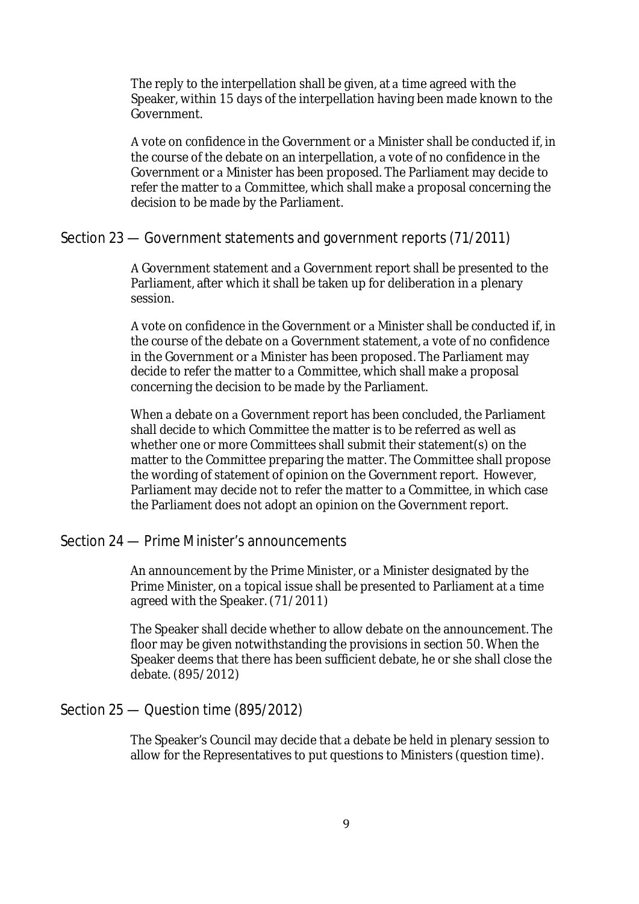The reply to the interpellation shall be given, at a time agreed with the Speaker, within 15 days of the interpellation having been made known to the Government.

A vote on confidence in the Government or a Minister shall be conducted if, in the course of the debate on an interpellation, a vote of no confidence in the Government or a Minister has been proposed. The Parliament may decide to refer the matter to a Committee, which shall make a proposal concerning the decision to be made by the Parliament.

### Section 23 — Government statements and government reports (71/2011)

A Government statement and a Government report shall be presented to the Parliament, after which it shall be taken up for deliberation in a plenary session.

A vote on confidence in the Government or a Minister shall be conducted if, in the course of the debate on a Government statement, a vote of no confidence in the Government or a Minister has been proposed. The Parliament may decide to refer the matter to a Committee, which shall make a proposal concerning the decision to be made by the Parliament.

When a debate on a Government report has been concluded, the Parliament shall decide to which Committee the matter is to be referred as well as whether one or more Committees shall submit their statement(s) on the matter to the Committee preparing the matter. The Committee shall propose the wording of statement of opinion on the Government report. However, Parliament may decide not to refer the matter to a Committee, in which case the Parliament does not adopt an opinion on the Government report.

# Section 24 — Prime Minister's announcements

An announcement by the Prime Minister, or a Minister designated by the Prime Minister, on a topical issue shall be presented to Parliament at a time agreed with the Speaker. (71/2011)

The Speaker shall decide whether to allow debate on the announcement. The floor may be given notwithstanding the provisions in section 50. When the Speaker deems that there has been sufficient debate, he or she shall close the debate. (895/2012)

### Section 25 — Question time (895/2012)

The Speaker's Council may decide that a debate be held in plenary session to allow for the Representatives to put questions to Ministers (question time).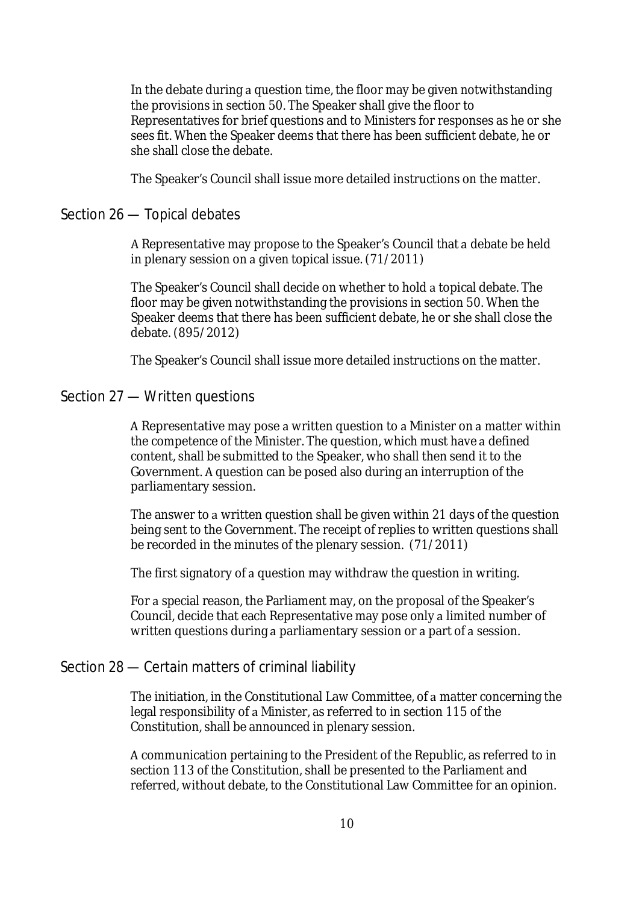In the debate during a question time, the floor may be given notwithstanding the provisions in section 50. The Speaker shall give the floor to Representatives for brief questions and to Ministers for responses as he or she sees fit. When the Speaker deems that there has been sufficient debate, he or she shall close the debate.

The Speaker's Council shall issue more detailed instructions on the matter.

### Section 26 — Topical debates

A Representative may propose to the Speaker's Council that a debate be held in plenary session on a given topical issue. (71/2011)

The Speaker's Council shall decide on whether to hold a topical debate. The floor may be given notwithstanding the provisions in section 50. When the Speaker deems that there has been sufficient debate, he or she shall close the debate. (895/2012)

The Speaker's Council shall issue more detailed instructions on the matter.

### Section 27 — Written questions

A Representative may pose a written question to a Minister on a matter within the competence of the Minister. The question, which must have a defined content, shall be submitted to the Speaker, who shall then send it to the Government. A question can be posed also during an interruption of the parliamentary session.

The answer to a written question shall be given within 21 days of the question being sent to the Government. The receipt of replies to written questions shall be recorded in the minutes of the plenary session. (71/2011)

The first signatory of a question may withdraw the question in writing.

For a special reason, the Parliament may, on the proposal of the Speaker's Council, decide that each Representative may pose only a limited number of written questions during a parliamentary session or a part of a session.

# Section 28 — Certain matters of criminal liability

The initiation, in the Constitutional Law Committee, of a matter concerning the legal responsibility of a Minister, as referred to in section 115 of the Constitution, shall be announced in plenary session.

communication pertaining to the President of the Republic, as referred to in section 113 of the Constitution, shall be presented to the Parliament and referred, without debate, to the Constitutional Law Committee for an opinion.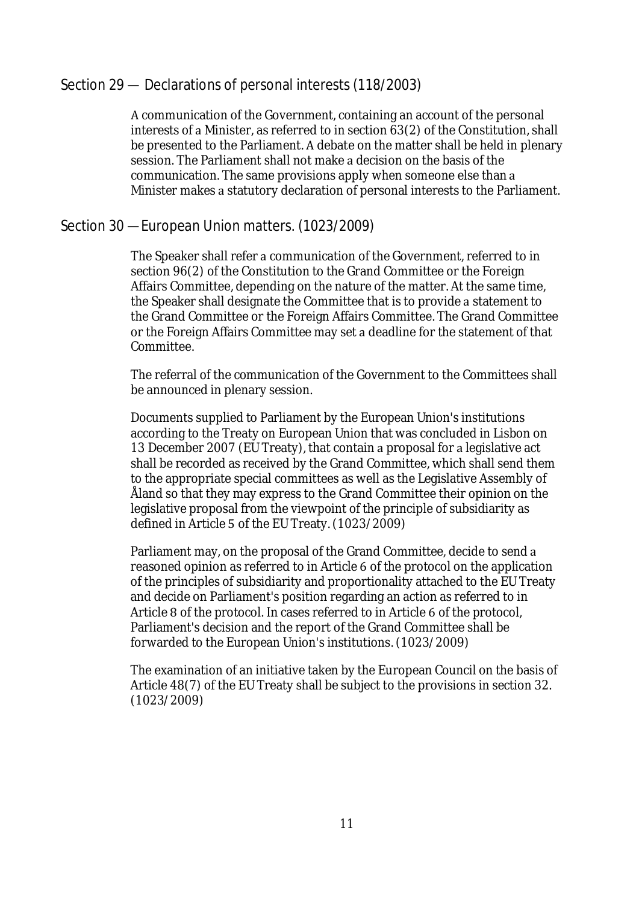# Section 29 — Declarations of personal interests (118/2003)

communication of the Government, containing an account of the personal interests of a Minister, as referred to in section  $63(2)$  of the Constitution, shall be presented to the Parliament. A debate on the matter shall be held in plenary session. The Parliament shall not make a decision on the basis of the communication. The same provisions apply when someone else than Minister makes a statutory declaration of personal interests to the Parliament.

# Section 30 —European Union matters. (1023/2009)

The Speaker shall refer a communication of the Government, referred to in section 96(2) of the Constitution to the Grand Committee or the Foreign Affairs Committee, depending on the nature of the matter. At the same time, the Speaker shall designate the Committee that is to provide a statement to the Grand Committee or the Foreign Affairs Committee. The Grand Committee or the Foreign Affairs Committee may set a deadline for the statement of that Committee.

The referral of the communication of the Government to the Committees shall be announced in plenary session.

Documents supplied to Parliament by the European Union's institutions according to the Treaty on European Union that was concluded in Lisbon on 13 December 2007 (EU Treaty), that contain a proposal for a legislative act shall be recorded as received by the Grand Committee, which shall send them to the appropriate special committees as well as the Legislative Assembly of Åland so that they may express to the Grand Committee their opinion on the legislative proposal from the viewpoint of the principle of subsidiarity as defined in Article 5 of the EU Treaty. (1023/2009)

Parliament may, on the proposal of the Grand Committee, decide to send a reasoned opinion as referred to in Article 6 of the protocol on the application of the principles of subsidiarity and proportionality attached to the EU Treaty and decide on Parliament's position regarding an action as referred to in Article 8 of the protocol. In cases referred to in Article 6 of the protocol, Parliament's decision and the report of the Grand Committee shall be forwarded to the European Union's institutions. (1023/2009)

The examination of an initiative taken by the European Council on the basis of Article 48(7) of the EU Treaty shall be subject to the provisions in section 32. (1023/2009)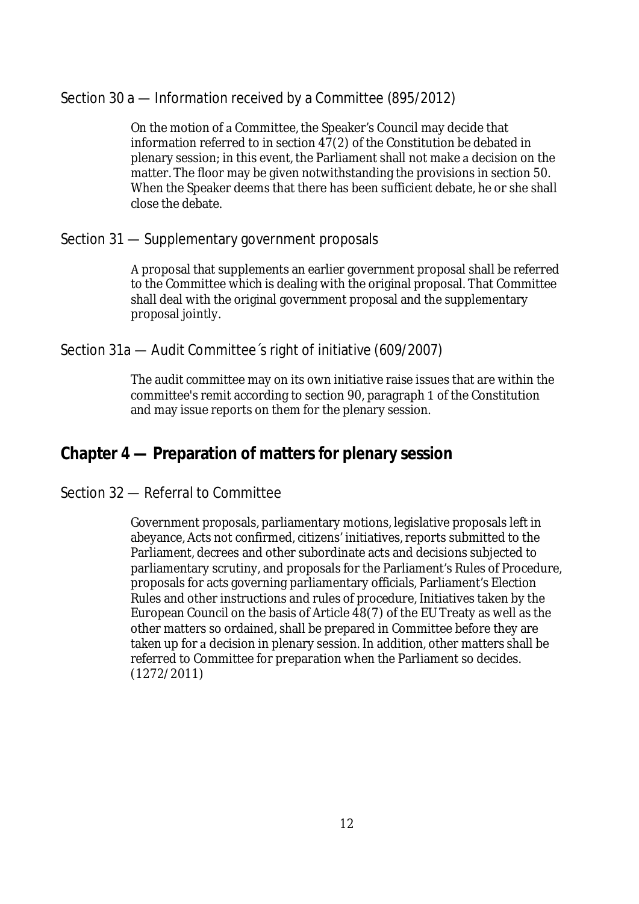# Section 30 a — Information received by a Committee (895/2012)

On the motion of a Committee, the Speaker's Council may decide that information referred to in section 47(2) of the Constitution be debated in plenary session; in this event, the Parliament shall not make a decision on the matter. The floor may be given notwithstanding the provisions in section 50. When the Speaker deems that there has been sufficient debate, he or she shall close the debate.

# Section 31 — Supplementary government proposals

proposal that supplements an earlier government proposal shall be referred to the Committee which is dealing with the original proposal. That Committee shall deal with the original government proposal and the supplementary proposal jointly.

# Section 31a — Audit Committee´s right of initiative (609/2007)

The audit committee may on its own initiative raise issues that are within the committee's remit according to section 90, paragraph 1 of the Constitution and may issue reports on them for the plenary session.

# **Chapter 4 — Preparation of matters for plenary session**

# Section 32 — Referral to Committee

Government proposals, parliamentary motions, legislative proposals left in abeyance, Acts not confirmed, citizens' initiatives, reports submitted to the Parliament, decrees and other subordinate acts and decisions subjected to parliamentary scrutiny, and proposals for the Parliament's Rules of Procedure, proposals for acts governing parliamentary officials, Parliament's Election Rules and other instructions and rules of procedure, Initiatives taken by the European Council on the basis of Article 48(7) of the EU Treaty as well as the other matters so ordained, shall be prepared in Committee before they are taken up for a decision in plenary session. In addition, other matters shall be referred to Committee for preparation when the Parliament so decides. (1272/2011)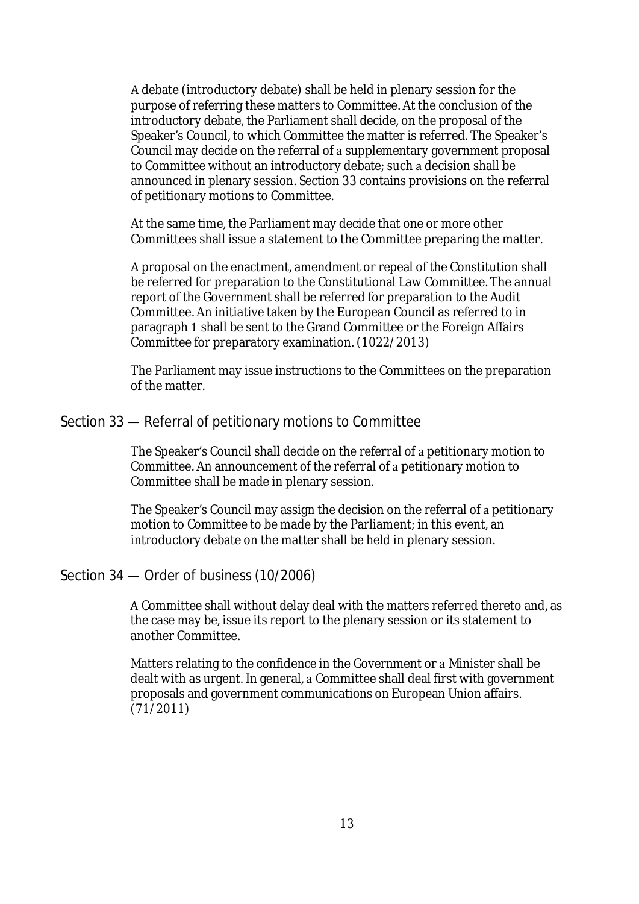debate (introductory debate) shall be held in plenary session for the purpose of referring these matters to Committee. At the conclusion of the introductory debate, the Parliament shall decide, on the proposal of the Speaker's Council, to which Committee the matter is referred. The Speaker's Council may decide on the referral of a supplementary government proposal to Committee without an introductory debate; such a decision shall be announced in plenary session. Section 33 contains provisions on the referral of petitionary motions to Committee.

At the same time, the Parliament may decide that one or more other Committees shall issue a statement to the Committee preparing the matter.

A proposal on the enactment, amendment or repeal of the Constitution shall be referred for preparation to the Constitutional Law Committee. The annual report of the Government shall be referred for preparation to the Audit Committee. An initiative taken by the European Council as referred to in paragraph 1 shall be sent to the Grand Committee or the Foreign Affairs Committee for preparatory examination. (1022/2013)

The Parliament may issue instructions to the Committees on the preparation of the matter.

### Section 33 — Referral of petitionary motions to Committee

The Speaker's Council shall decide on the referral of a petitionary motion to Committee. An announcement of the referral of a petitionary motion to Committee shall be made in plenary session.

The Speaker's Council may assign the decision on the referral of a petitionary motion to Committee to be made by the Parliament; in this event, an introductory debate on the matter shall be held in plenary session.

### Section 34 — Order of business (10/2006)

Committee shall without delay deal with the matters referred thereto and, as the case may be, issue its report to the plenary session or its statement to another Committee.

Matters relating to the confidence in the Government or a Minister shall be dealt with as urgent. In general, a Committee shall deal first with government proposals and government communications on European Union affairs. (71/2011)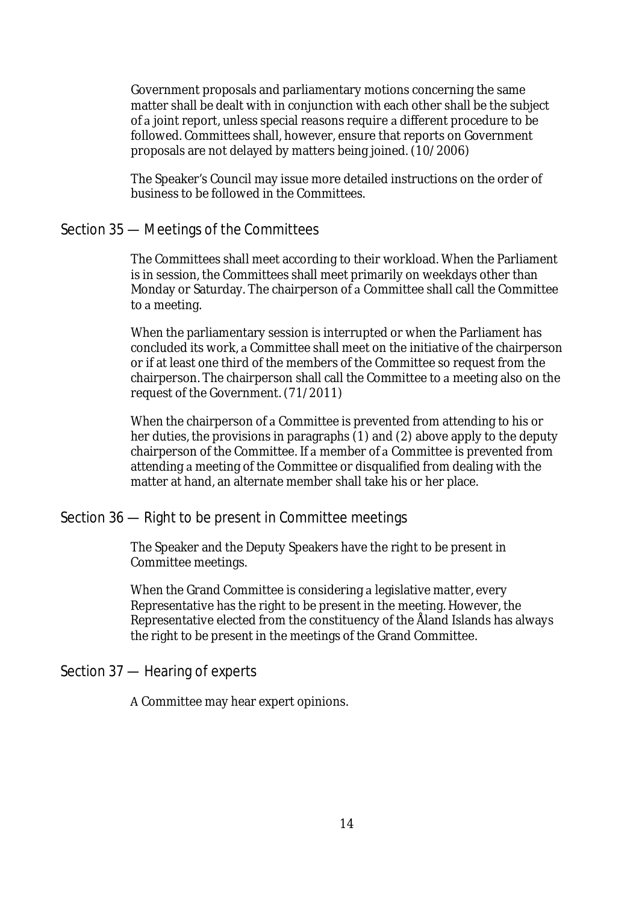Government proposals and parliamentary motions concerning the same matter shall be dealt with in conjunction with each other shall be the subject of a joint report, unless special reasons require a different procedure to be followed. Committees shall, however, ensure that reports on Government proposals are not delayed by matters being joined. (10/2006)

The Speaker's Council may issue more detailed instructions on the order of business to be followed in the Committees.

# Section 35 — Meetings of the Committees

The Committees shall meet according to their workload. When the Parliament is in session, the Committees shall meet primarily on weekdays other than Monday or Saturday. The chairperson of a Committee shall call the Committee to a meeting.

When the parliamentary session is interrupted or when the Parliament has concluded its work, a Committee shall meet on the initiative of the chairperson or if at least one third of the members of the Committee so request from the chairperson. The chairperson shall call the Committee to a meeting also on the request of the Government. (71/2011)

When the chairperson of a Committee is prevented from attending to his or her duties, the provisions in paragraphs (1) and (2) above apply to the deputy chairperson of the Committee. If a member of a Committee is prevented from attending a meeting of the Committee or disqualified from dealing with the matter at hand, an alternate member shall take his or her place.

# Section 36 — Right to be present in Committee meetings

The Speaker and the Deputy Speakers have the right to be present in Committee meetings.

When the Grand Committee is considering a legislative matter, every Representative has the right to be present in the meeting. However, the Representative elected from the constituency of the Åland Islands has always the right to be present in the meetings of the Grand Committee.

Section 37 — Hearing of experts

Committee may hear expert opinions.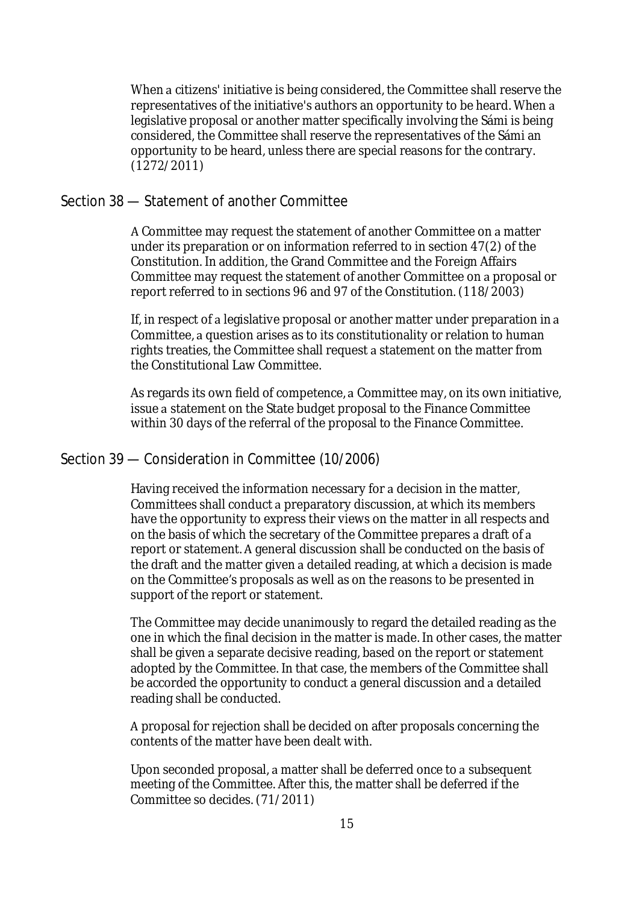When a citizens' initiative is being considered, the Committee shall reserve the representatives of the initiative's authors an opportunity to be heard. When legislative proposal or another matter specifically involving the Sámi is being considered, the Committee shall reserve the representatives of the Sámi an opportunity to be heard, unless there are special reasons for the contrary. (1272/2011)

### Section 38 — Statement of another Committee

A Committee may request the statement of another Committee on a matter under its preparation or on information referred to in section 47(2) of the Constitution. In addition, the Grand Committee and the Foreign Affairs Committee may request the statement of another Committee on a proposal or report referred to in sections 96 and 97 of the Constitution. (118/2003)

If, in respect of a legislative proposal or another matter under preparation in a Committee, a question arises as to its constitutionality or relation to human rights treaties, the Committee shall request a statement on the matter from the Constitutional Law Committee.

As regards its own field of competence, a Committee may, on its own initiative, issue a statement on the State budget proposal to the Finance Committee within 30 days of the referral of the proposal to the Finance Committee.

### Section 39 — Consideration in Committee (10/2006)

Having received the information necessary for a decision in the matter, Committees shall conduct a preparatory discussion, at which its members have the opportunity to express their views on the matter in all respects and on the basis of which the secretary of the Committee prepares a draft of a report or statement. A general discussion shall be conducted on the basis of the draft and the matter given a detailed reading, at which a decision is made on the Committee's proposals as well as on the reasons to be presented in support of the report or statement.

The Committee may decide unanimously to regard the detailed reading as the one in which the final decision in the matter is made. In other cases, the matter shall be given a separate decisive reading, based on the report or statement adopted by the Committee. In that case, the members of the Committee shall be accorded the opportunity to conduct a general discussion and a detailed reading shall be conducted.

proposal for rejection shall be decided on after proposals concerning the contents of the matter have been dealt with.

Upon seconded proposal, a matter shall be deferred once to a subsequent meeting of the Committee. After this, the matter shall be deferred if the Committee so decides. (71/2011)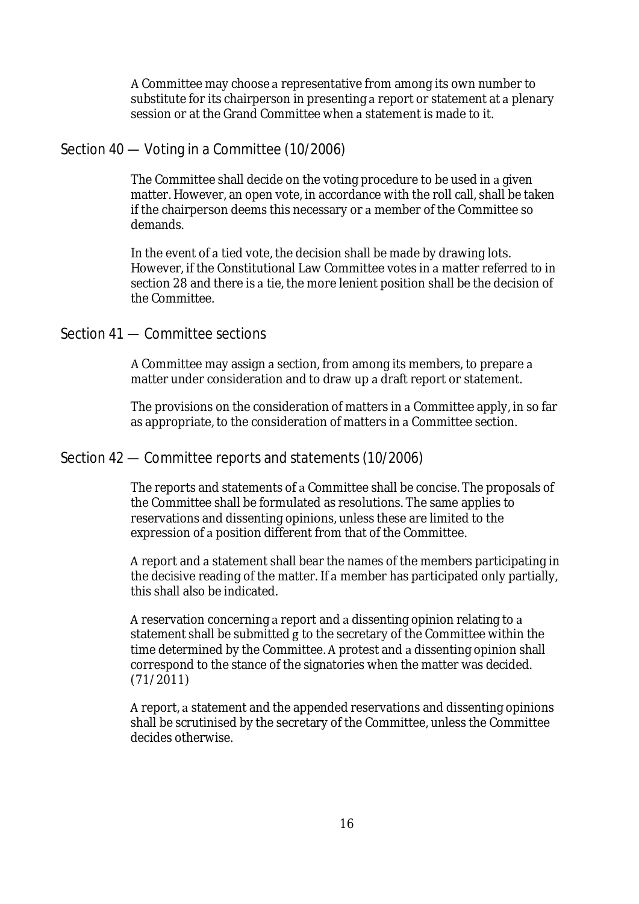A Committee may choose a representative from among its own number to substitute for its chairperson in presenting a report or statement at a plenary session or at the Grand Committee when a statement is made to it.

# Section 40 — Voting in a Committee (10/2006)

The Committee shall decide on the voting procedure to be used in a given matter. However, an open vote, in accordance with the roll call, shall be taken if the chairperson deems this necessary or a member of the Committee so demands.

In the event of a tied vote, the decision shall be made by drawing lots. However, if the Constitutional Law Committee votes in a matter referred to in section 28 and there is a tie, the more lenient position shall be the decision of the Committee.

# Section 41 — Committee sections

A Committee may assign a section, from among its members, to prepare a matter under consideration and to draw up a draft report or statement.

The provisions on the consideration of matters in a Committee apply, in so far as appropriate, to the consideration of matters in a Committee section.

### Section 42 — Committee reports and statements (10/2006)

The reports and statements of a Committee shall be concise. The proposals of the Committee shall be formulated as resolutions. The same applies to reservations and dissenting opinions, unless these are limited to the expression of a position different from that of the Committee.

A report and a statement shall bear the names of the members participating in the decisive reading of the matter. If a member has participated only partially, this shall also be indicated.

A reservation concerning a report and a dissenting opinion relating to a statement shall be submitted g to the secretary of the Committee within the time determined by the Committee. A protest and a dissenting opinion shall correspond to the stance of the signatories when the matter was decided. (71/2011)

A report, a statement and the appended reservations and dissenting opinions shall be scrutinised by the secretary of the Committee, unless the Committee decides otherwise.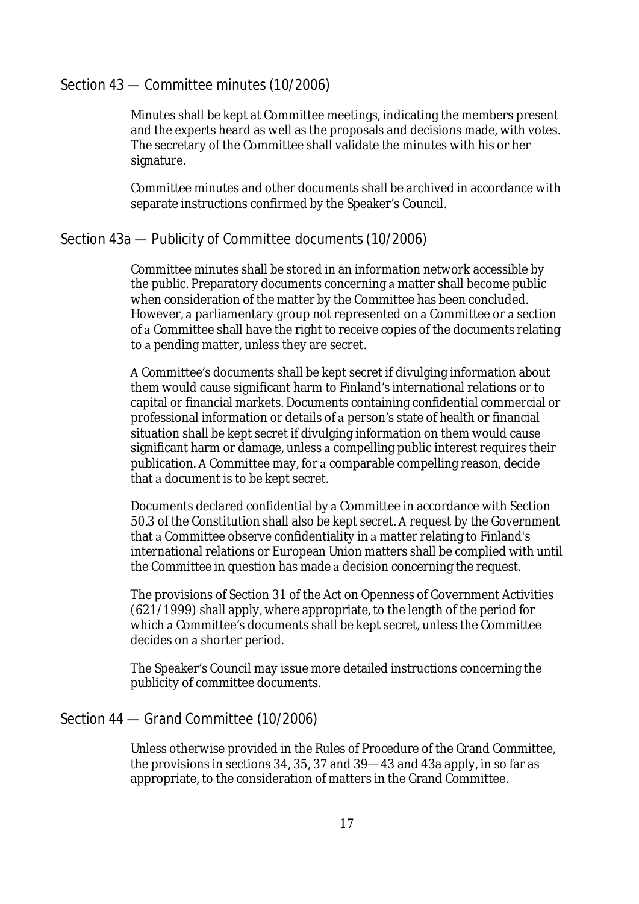# Section 43 — Committee minutes (10/2006)

Minutes shall be kept at Committee meetings, indicating the members present and the experts heard as well as the proposals and decisions made, with votes. The secretary of the Committee shall validate the minutes with his or her signature.

Committee minutes and other documents shall be archived in accordance with separate instructions confirmed by the Speaker's Council.

# Section 43a — Publicity of Committee documents (10/2006)

Committee minutes shall be stored in an information network accessible by the public. Preparatory documents concerning a matter shall become public when consideration of the matter by the Committee has been concluded. However, a parliamentary group not represented on a Committee or a section of a Committee shall have the right to receive copies of the documents relating to a pending matter, unless they are secret.

Committee's documents shall be kept secret if divulging information about them would cause significant harm to Finland's international relations or to capital or financial markets. Documents containing confidential commercial or professional information or details of a person's state of health or financial situation shall be kept secret if divulging information on them would cause significant harm or damage, unless a compelling public interest requires their publication. A Committee may, for a comparable compelling reason, decide that a document is to be kept secret.

Documents declared confidential by a Committee in accordance with Section 50.3 of the Constitution shall also be kept secret. A request by the Government that a Committee observe confidentiality in a matter relating to Finland's international relations or European Union matters shall be complied with until the Committee in question has made a decision concerning the request.

The provisions of Section 31 of the Act on Openness of Government Activities (621/1999) shall apply, where appropriate, to the length of the period for which a Committee's documents shall be kept secret, unless the Committee decides on a shorter period.

The Speaker's Council may issue more detailed instructions concerning the publicity of committee documents.

# Section 44 — Grand Committee (10/2006)

Unless otherwise provided in the Rules of Procedure of the Grand Committee, the provisions in sections 34, 35, 37 and 39—43 and 43a apply, in so far as appropriate, to the consideration of matters in the Grand Committee.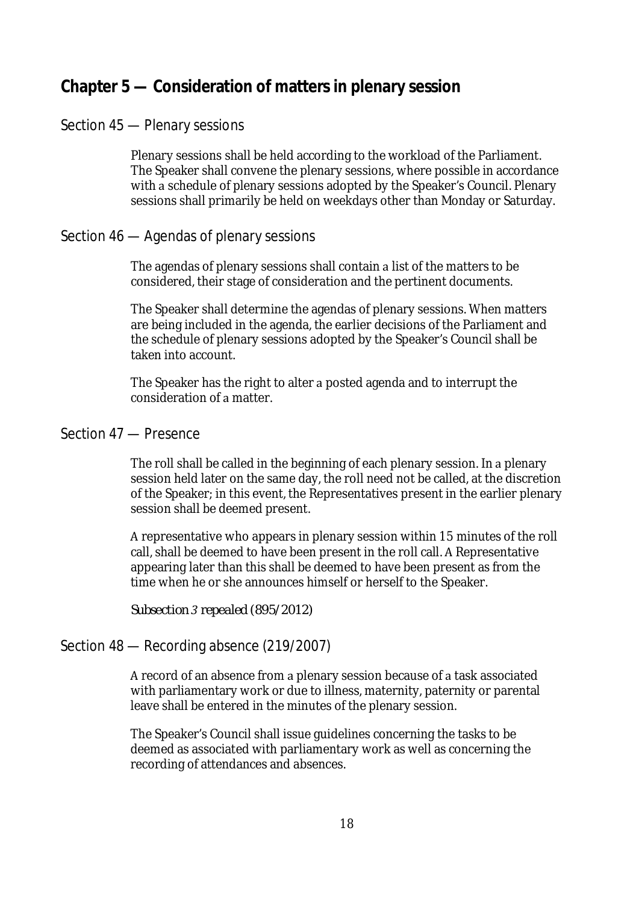# **Chapter 5 — Consideration of matters in plenary session**

# Section 45 — Plenary sessions

Plenary sessions shall be held according to the workload of the Parliament. The Speaker shall convene the plenary sessions, where possible in accordance with a schedule of plenary sessions adopted by the Speaker's Council. Plenary sessions shall primarily be held on weekdays other than Monday or Saturday.

# Section 46 — Agendas of plenary sessions

The agendas of plenary sessions shall contain a list of the matters to be considered, their stage of consideration and the pertinent documents.

The Speaker shall determine the agendas of plenary sessions. When matters are being included in the agenda, the earlier decisions of the Parliament and the schedule of plenary sessions adopted by the Speaker's Council shall be taken into account.

The Speaker has the right to alter a posted agenda and to interrupt the consideration of a matter.

### Section 47 — Presence

The roll shall be called in the beginning of each plenary session. In a plenary session held later on the same day, the roll need not be called, at the discretion of the Speaker; in this event, the Representatives present in the earlier plenary session shall be deemed present.

representative who appears in plenary session within 15 minutes of the roll call, shall be deemed to have been present in the roll call. A Representative appearing later than this shall be deemed to have been present as from the time when he or she announces himself or herself to the Speaker.

*Subsectionrepealed (895/2012)*

# Section 48 — Recording absence (219/2007)

A record of an absence from a plenary session because of a task associated with parliamentary work or due to illness, maternity, paternity or parental leave shall be entered in the minutes of the plenary session.

The Speaker's Council shall issue guidelines concerning the tasks to be deemed as associated with parliamentary work as well as concerning the recording of attendances and absences.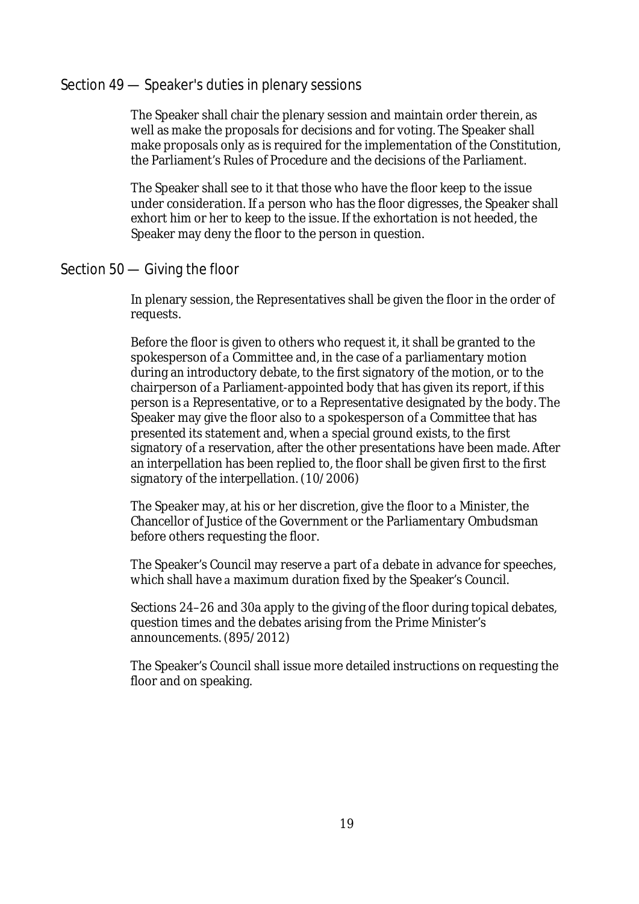### Section 49 — Speaker's duties in plenary sessions

The Speaker shall chair the plenary session and maintain order therein, as well as make the proposals for decisions and for voting. The Speaker shall make proposals only as is required for the implementation of the Constitution, the Parliament's Rules of Procedure and the decisions of the Parliament.

The Speaker shall see to it that those who have the floor keep to the issue under consideration. If a person who has the floor digresses, the Speaker shall exhort him or her to keep to the issue. If the exhortation is not heeded, the Speaker may deny the floor to the person in question.

# Section 50 — Giving the floor

In plenary session, the Representatives shall be given the floor in the order of requests.

Before the floor is given to others who request it, it shall be granted to the spokesperson of a Committee and, in the case of a parliamentary motion during an introductory debate, to the first signatory of the motion, or to the chairperson of a Parliament-appointed body that has given its report, if this person is a Representative, or to a Representative designated by the body. The Speaker may give the floor also to a spokesperson of a Committee that has presented its statement and, when a special ground exists, to the first signatory of a reservation, after the other presentations have been made. After an interpellation has been replied to, the floor shall be given first to the first signatory of the interpellation. (10/2006)

The Speaker may, at his or her discretion, give the floor to a Minister, the Chancellor of Justice of the Government or the Parliamentary Ombudsman before others requesting the floor.

The Speaker's Council may reserve a part of a debate in advance for speeches, which shall have a maximum duration fixed by the Speaker's Council.

Sections 24–26 and 30a apply to the giving of the floor during topical debates, question times and the debates arising from the Prime Minister's announcements. (895/2012)

The Speaker's Council shall issue more detailed instructions on requesting the floor and on speaking.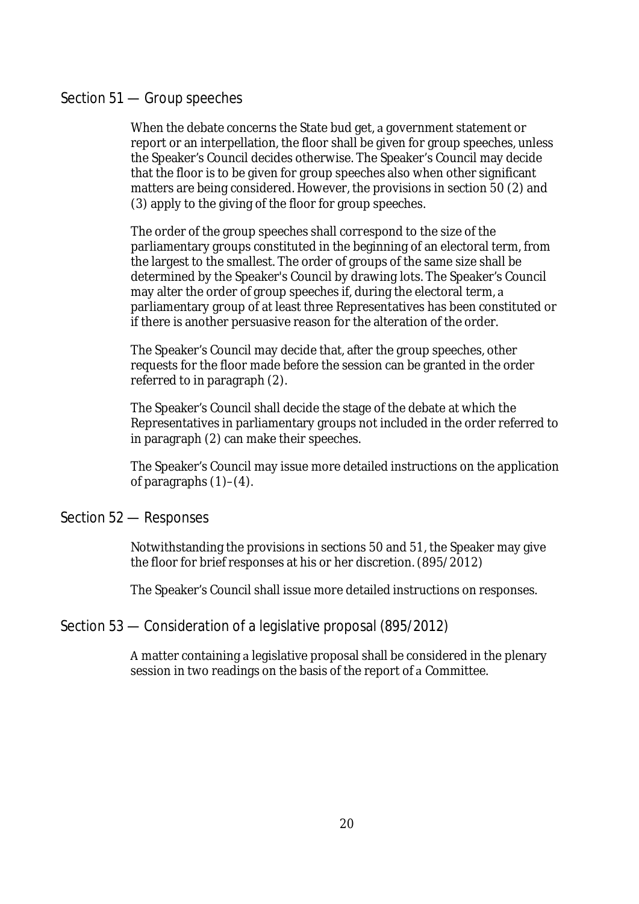# Section 51 — Group speeches

When the debate concerns the State bud get, a government statement or report or an interpellation, the floor shall be given for group speeches, unless the Speaker's Council decides otherwise. The Speaker's Council may decide that the floor is to be given for group speeches also when other significant matters are being considered. However, the provisions in section 50 (2) and (3) apply to the giving of the floor for group speeches.

The order of the group speeches shall correspond to the size of the parliamentary groups constituted in the beginning of an electoral term, from the largest to the smallest. The order of groups of the same size shall be determined by the Speaker's Council by drawing lots. The Speaker's Council may alter the order of group speeches if, during the electoral term, a parliamentary group of at least three Representatives has been constituted or if there is another persuasive reason for the alteration of the order.

The Speaker's Council may decide that, after the group speeches, other requests for the floor made before the session can be granted in the order referred to in paragraph (2).

The Speaker's Council shall decide the stage of the debate at which the Representatives in parliamentary groups not included in the order referred to in paragraph (2) can make their speeches.

The Speaker's Council may issue more detailed instructions on the application of paragraphs (1)–(4).

### Section 52 — Responses

Notwithstanding the provisions in sections 50 and 51, the Speaker may give the floor for brief responses at his or her discretion. (895/2012)

The Speaker's Council shall issue more detailed instructions on responses.

# Section 53 — Consideration of a legislative proposal (895/2012)

A matter containing a legislative proposal shall be considered in the plenary session in two readings on the basis of the report of a Committee.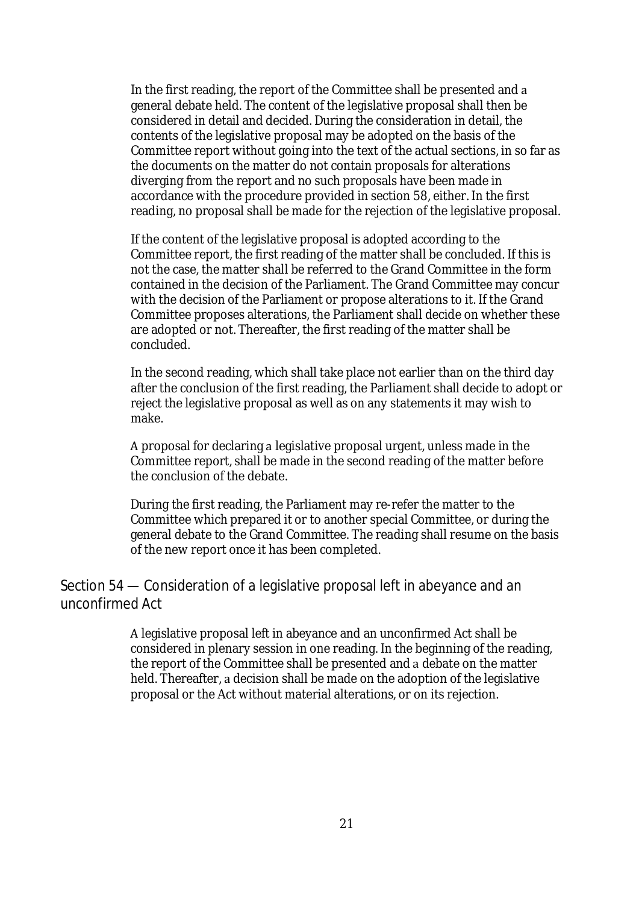In the first reading, the report of the Committee shall be presented and a general debate held. The content of the legislative proposal shall then be considered in detail and decided. During the consideration in detail, the contents of the legislative proposal may be adopted on the basis of the Committee report without going into the text of the actual sections, in so far as the documents on the matter do not contain proposals for alterations diverging from the report and no such proposals have been made in accordance with the procedure provided in section 58, either. In the first reading, no proposal shall be made for the rejection of the legislative proposal.

If the content of the legislative proposal is adopted according to the Committee report, the first reading of the matter shall be concluded. If this is not the case, the matter shall be referred to the Grand Committee in the form contained in the decision of the Parliament. The Grand Committee may concur with the decision of the Parliament or propose alterations to it. If the Grand Committee proposes alterations, the Parliament shall decide on whether these are adopted or not. Thereafter, the first reading of the matter shall be concluded.

In the second reading, which shall take place not earlier than on the third day after the conclusion of the first reading, the Parliament shall decide to adopt or reject the legislative proposal as well as on any statements it may wish to make.

A proposal for declaring a legislative proposal urgent, unless made in the Committee report, shall be made in the second reading of the matter before the conclusion of the debate.

During the first reading, the Parliament may re-refer the matter to the Committee which prepared it or to another special Committee, or during the general debate to the Grand Committee. The reading shall resume on the basis of the new report once it has been completed.

Section 54 — Consideration of a legislative proposal left in abeyance and an unconfirmed Act

> A legislative proposal left in abeyance and an unconfirmed Act shall be considered in plenary session in one reading. In the beginning of the reading, the report of the Committee shall be presented and a debate on the matter held. Thereafter, a decision shall be made on the adoption of the legislative proposal or the Act without material alterations, or on its rejection.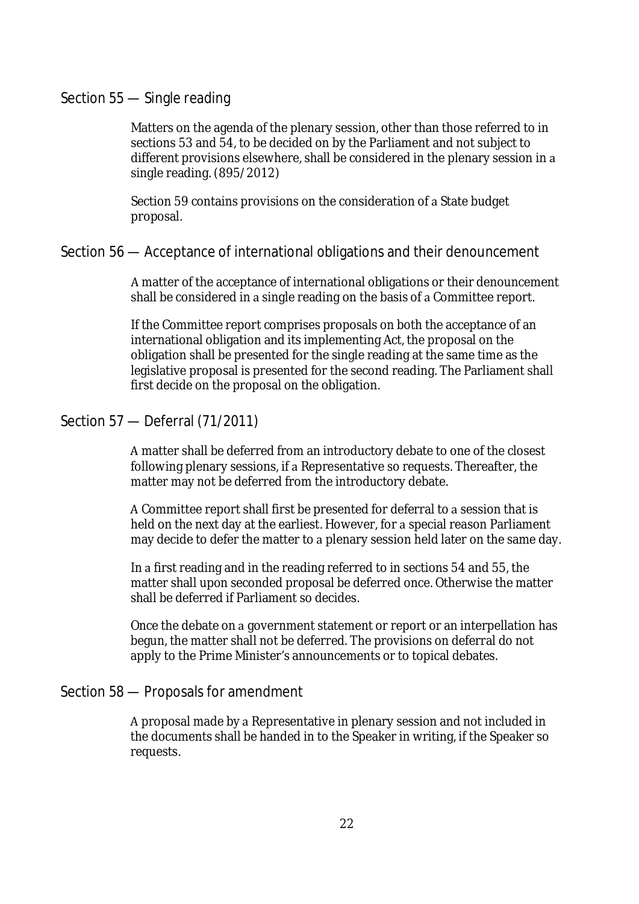### Section 55 — Single reading

Matters on the agenda of the plenary session, other than those referred to in sections 53 and 54, to be decided on by the Parliament and not subject to different provisions elsewhere, shall be considered in the plenary session in a single reading. (895/2012)

Section 59 contains provisions on the consideration of a State budget proposal.

### Section 56 — Acceptance of international obligations and their denouncement

matter of the acceptance of international obligations or their denouncement shall be considered in a single reading on the basis of a Committee report.

If the Committee report comprises proposals on both the acceptance of an international obligation and its implementing Act, the proposal on the obligation shall be presented for the single reading at the same time as the legislative proposal is presented for the second reading. The Parliament shall first decide on the proposal on the obligation.

# Section 57 — Deferral (71/2011)

matter shall be deferred from an introductory debate to one of the closest following plenary sessions, if a Representative so requests. Thereafter, the matter may not be deferred from the introductory debate.

A Committee report shall first be presented for deferral to a session that is held on the next day at the earliest. However, for a special reason Parliament may decide to defer the matter to a plenary session held later on the same day.

In a first reading and in the reading referred to in sections 54 and 55, the matter shall upon seconded proposal be deferred once. Otherwise the matter shall be deferred if Parliament so decides.

Once the debate on a government statement or report or an interpellation has begun, the matter shall not be deferred. The provisions on deferral do not apply to the Prime Minister's announcements or to topical debates.

# Section 58 — Proposals for amendment

A proposal made by a Representative in plenary session and not included in the documents shall be handed in to the Speaker in writing, if the Speaker so requests.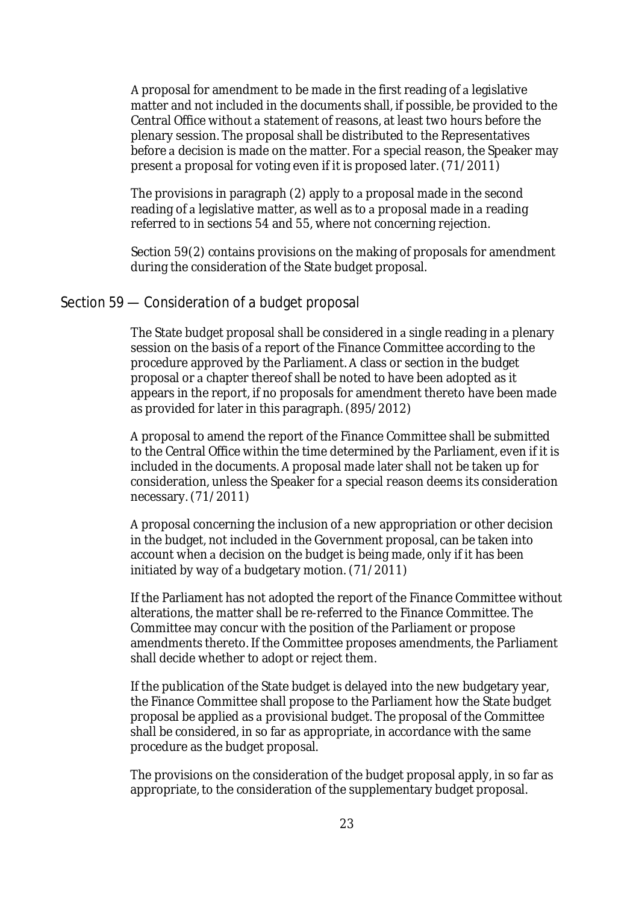A proposal for amendment to be made in the first reading of a legislative matter and not included in the documents shall, if possible, be provided to the Central Office without a statement of reasons, at least two hours before the plenary session. The proposal shall be distributed to the Representatives before a decision is made on the matter. For a special reason, the Speaker may present a proposal for voting even if it is proposed later. (71/2011)

The provisions in paragraph (2) apply to a proposal made in the second reading of a legislative matter, as well as to a proposal made in a reading referred to in sections 54 and 55, where not concerning rejection.

Section 59(2) contains provisions on the making of proposals for amendment during the consideration of the State budget proposal.

### Section 59 — Consideration of a budget proposal

The State budget proposal shall be considered in a single reading in a plenary session on the basis of a report of the Finance Committee according to the procedure approved by the Parliament. A class or section in the budget proposal or a chapter thereof shall be noted to have been adopted as it appears in the report, if no proposals for amendment thereto have been made as provided for later in this paragraph. (895/2012)

proposal to amend the report of the Finance Committee shall be submitted to the Central Office within the time determined by the Parliament, even if it is included in the documents. A proposal made later shall not be taken up for consideration, unless the Speaker for a special reason deems its consideration necessary. (71/2011)

A proposal concerning the inclusion of a new appropriation or other decision in the budget, not included in the Government proposal, can be taken into account when a decision on the budget is being made, only if it has been initiated by way of a budgetary motion.  $(71/2011)$ 

If the Parliament has not adopted the report of the Finance Committee without alterations, the matter shall be re-referred to the Finance Committee. The Committee may concur with the position of the Parliament or propose amendments thereto. If the Committee proposes amendments, the Parliament shall decide whether to adopt or reject them.

If the publication of the State budget is delayed into the new budgetary year, the Finance Committee shall propose to the Parliament how the State budget proposal be applied as a provisional budget. The proposal of the Committee shall be considered, in so far as appropriate, in accordance with the same procedure as the budget proposal.

The provisions on the consideration of the budget proposal apply, in so far as appropriate, to the consideration of the supplementary budget proposal.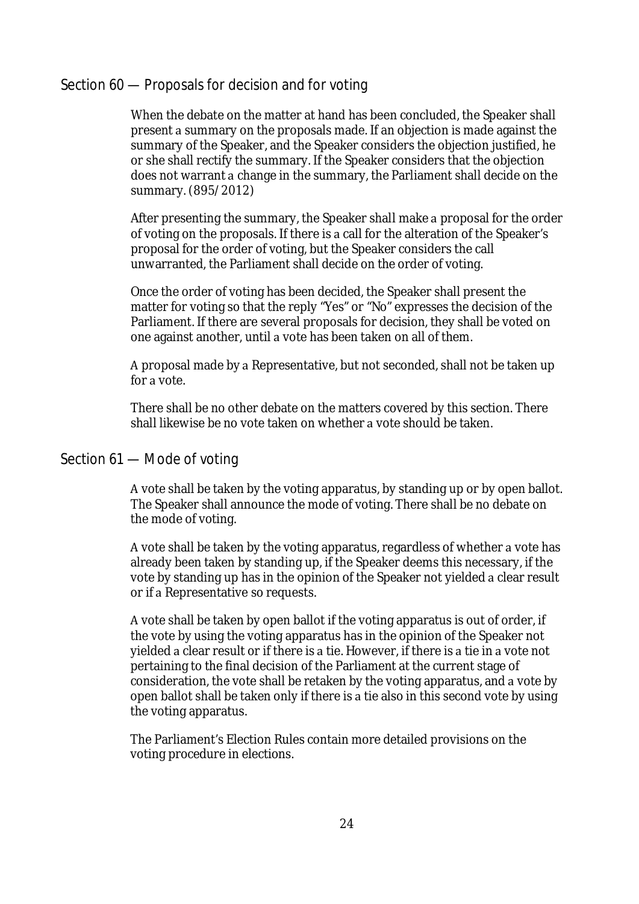# Section 60 — Proposals for decision and for voting

When the debate on the matter at hand has been concluded, the Speaker shall present a summary on the proposals made. If an objection is made against the summary of the Speaker, and the Speaker considers the objection justified, he or she shall rectify the summary. If the Speaker considers that the objection does not warrant a change in the summary, the Parliament shall decide on the summary. (895/2012)

After presenting the summary, the Speaker shall make a proposal for the order of voting on the proposals. If there is a call for the alteration of the Speaker's proposal for the order of voting, but the Speaker considers the call unwarranted, the Parliament shall decide on the order of voting.

Once the order of voting has been decided, the Speaker shall present the matter for voting so that the reply "Yes" or "No" expresses the decision of the Parliament. If there are several proposals for decision, they shall be voted on one against another, until a vote has been taken on all of them.

A proposal made by a Representative, but not seconded, shall not be taken up for a vote.

There shall be no other debate on the matters covered by this section. There shall likewise be no vote taken on whether a vote should be taken.

### Section 61 — Mode of voting

vote shall be taken by the voting apparatus, by standing up or by open ballot. The Speaker shall announce the mode of voting. There shall be no debate on the mode of voting.

A vote shall be taken by the voting apparatus, regardless of whether a vote has already been taken by standing up, if the Speaker deems this necessary, if the vote by standing up has in the opinion of the Speaker not yielded a clear result or if a Representative so requests.

vote shall be taken by open ballot if the voting apparatus is out of order, if the vote by using the voting apparatus has in the opinion of the Speaker not yielded a clear result or if there is a tie. However, if there is a tie in a vote not pertaining to the final decision of the Parliament at the current stage of consideration, the vote shall be retaken by the voting apparatus, and a vote by open ballot shall be taken only if there is a tie also in this second vote by using the voting apparatus.

The Parliament's Election Rules contain more detailed provisions on the voting procedure in elections.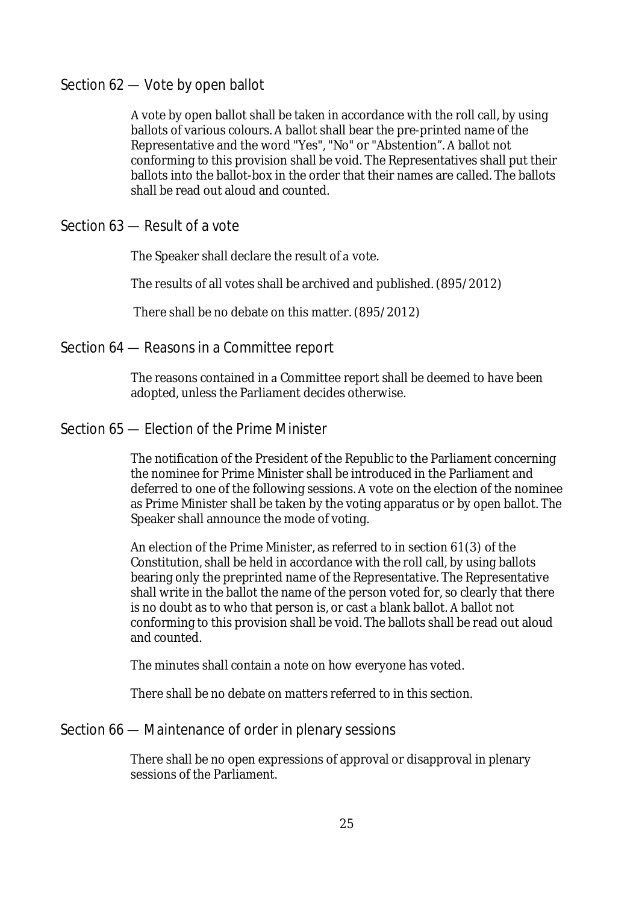# Section 62 — Vote by open ballot

vote by open ballot shall be taken in accordance with the roll call, by using ballots of various colours. A ballot shall bear the pre-printed name of the Representative and the word "Yes", "No" or "Abstention". A ballot not conforming to this provision shall be void. The Representatives shall put their ballots into the ballot-box in the order that their names are called. The ballots shall be read out aloud and counted.

# Section 63 — Result of a vote

The Speaker shall declare the result of a vote.

The results of all votes shall be archived and published. (895/2012)

There shall be no debate on this matter. (895/2012)

### Section 64 — Reasons in a Committee report

The reasons contained in a Committee report shall be deemed to have been adopted, unless the Parliament decides otherwise.

### Section 65 — Election of the Prime Minister

The notification of the President of the Republic to the Parliament concerning the nominee for Prime Minister shall be introduced in the Parliament and deferred to one of the following sessions. A vote on the election of the nominee as Prime Minister shall be taken by the voting apparatus or by open ballot. The Speaker shall announce the mode of voting.

An election of the Prime Minister, as referred to in section 61(3) of the Constitution, shall be held in accordance with the roll call, by using ballots bearing only the preprinted name of the Representative. The Representative shall write in the ballot the name of the person voted for, so clearly that there is no doubt as to who that person is, or cast a blank ballot. A ballot not conforming to this provision shall be void. The ballots shall be read out aloud and counted.

The minutes shall contain a note on how everyone has voted.

There shall be no debate on matters referred to in this section.

### Section 66 — Maintenance of order in plenary sessions

There shall be no open expressions of approval or disapproval in plenary sessions of the Parliament.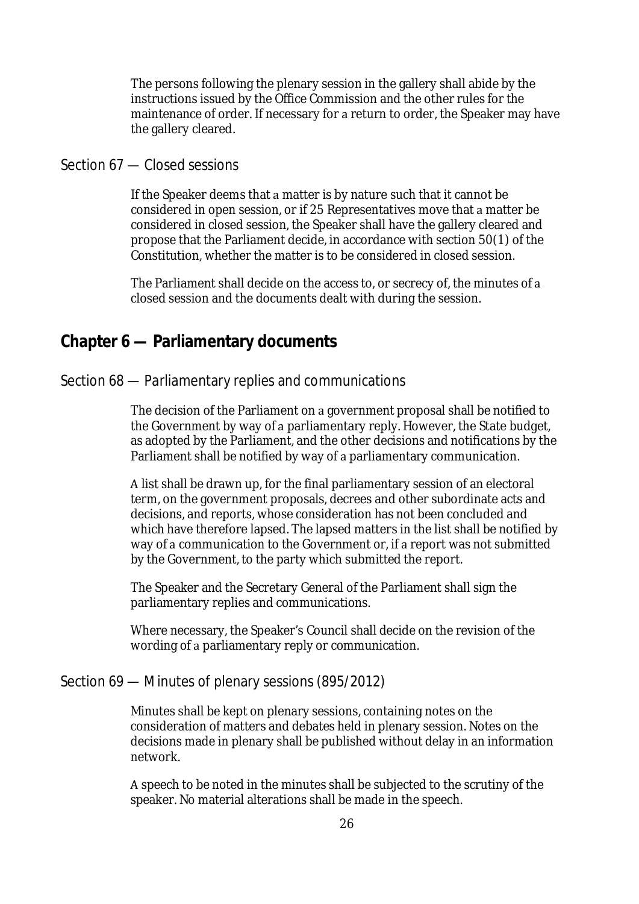The persons following the plenary session in the gallery shall abide by the instructions issued by the Office Commission and the other rules for the maintenance of order. If necessary for a return to order, the Speaker may have the gallery cleared.

# Section 67 — Closed sessions

If the Speaker deems that a matter is by nature such that it cannot be considered in open session, or if 25 Representatives move that a matter be considered in closed session, the Speaker shall have the gallery cleared and propose that the Parliament decide, in accordance with section 50(1) of the Constitution, whether the matter is to be considered in closed session.

The Parliament shall decide on the access to, or secrecy of, the minutes of closed session and the documents dealt with during the session.

# **Chapter 6 — Parliamentary documents**

### Section 68 — Parliamentary replies and communications

The decision of the Parliament on a government proposal shall be notified to the Government by way of a parliamentary reply. However, the State budget, as adopted by the Parliament, and the other decisions and notifications by the Parliament shall be notified by way of a parliamentary communication.

A list shall be drawn up, for the final parliamentary session of an electoral term, on the government proposals, decrees and other subordinate acts and decisions, and reports, whose consideration has not been concluded and which have therefore lapsed. The lapsed matters in the list shall be notified by way of a communication to the Government or, if a report was not submitted by the Government, to the party which submitted the report.

The Speaker and the Secretary General of the Parliament shall sign the parliamentary replies and communications.

Where necessary, the Speaker's Council shall decide on the revision of the wording of a parliamentary reply or communication.

#### Section 69 — Minutes of plenary sessions (895/2012)

Minutes shall be kept on plenary sessions, containing notes on the consideration of matters and debates held in plenary session. Notes on the decisions made in plenary shall be published without delay in an information network.

A speech to be noted in the minutes shall be subjected to the scrutiny of the speaker. No material alterations shall be made in the speech.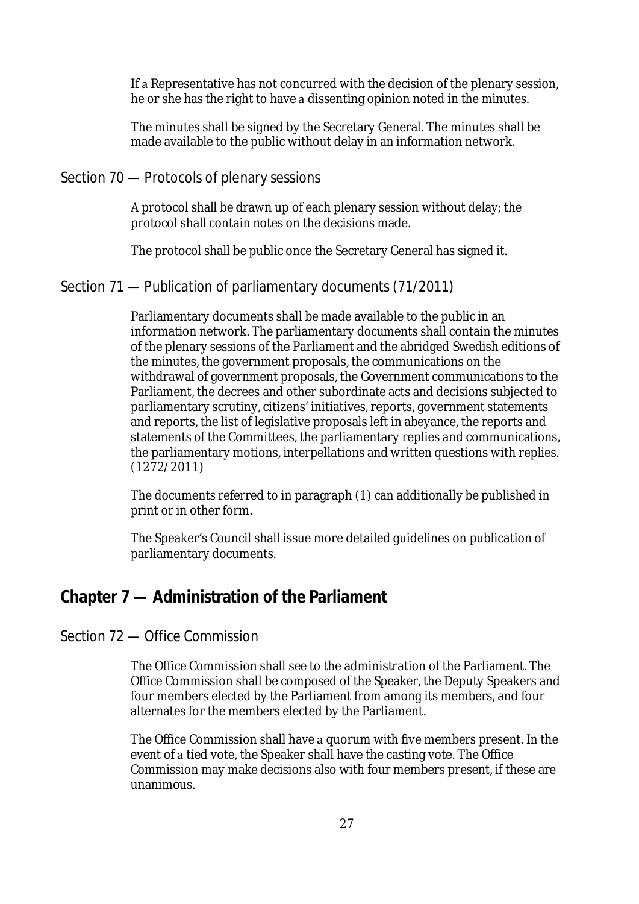If a Representative has not concurred with the decision of the plenary session, he or she has the right to have a dissenting opinion noted in the minutes.

The minutes shall be signed by the Secretary General. The minutes shall be made available to the public without delay in an information network.

# Section 70 — Protocols of plenary sessions

A protocol shall be drawn up of each plenary session without delay; the protocol shall contain notes on the decisions made.

The protocol shall be public once the Secretary General has signed it.

# Section 71 — Publication of parliamentary documents (71/2011)

Parliamentary documents shall be made available to the public in an information network. The parliamentary documents shall contain the minutes of the plenary sessions of the Parliament and the abridged Swedish editions of the minutes, the government proposals, the communications on the withdrawal of government proposals, the Government communications to the Parliament, the decrees and other subordinate acts and decisions subjected to parliamentary scrutiny, citizens' initiatives, reports, government statements and reports, the list of legislative proposals left in abeyance, the reports and statements of the Committees, the parliamentary replies and communications, the parliamentary motions, interpellations and written questions with replies. (1272/2011)

The documents referred to in paragraph (1) can additionally be published in print or in other form.

The Speaker's Council shall issue more detailed guidelines on publication of parliamentary documents.

# **Chapter 7 — Administration of the Parliament**

# Section 72 — Office Commission

The Office Commission shall see to the administration of the Parliament. The Office Commission shall be composed of the Speaker, the Deputy Speakers and four members elected by the Parliament from among its members, and four alternates for the members elected by the Parliament.

The Office Commission shall have a quorum with five members present. In the event of a tied vote, the Speaker shall have the casting vote. The Office Commission may make decisions also with four members present, if these are unanimous.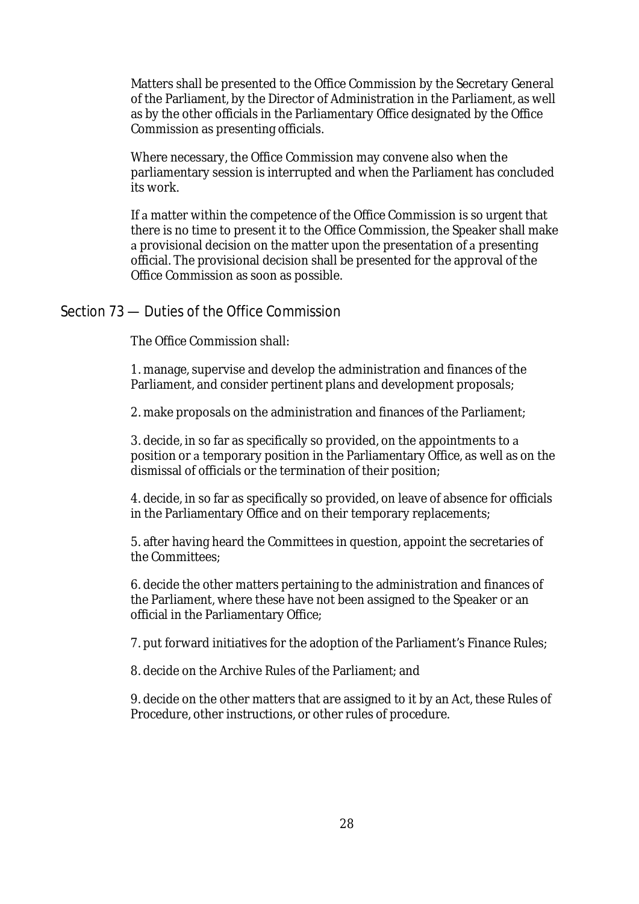Matters shall be presented to the Office Commission by the Secretary General of the Parliament, by the Director of Administration in the Parliament, as well as by the other officials in the Parliamentary Office designated by the Office Commission as presenting officials.

Where necessary, the Office Commission may convene also when the parliamentary session is interrupted and when the Parliament has concluded its work.

If a matter within the competence of the Office Commission is so urgent that there is no time to present it to the Office Commission, the Speaker shall make a provisional decision on the matter upon the presentation of a presenting official. The provisional decision shall be presented for the approval of the Office Commission as soon as possible.

### Section 73 — Duties of the Office Commission

The Office Commission shall:

1. manage, supervise and develop the administration and finances of the Parliament, and consider pertinent plans and development proposals;

2. make proposals on the administration and finances of the Parliament;

3. decide, in so far as specifically so provided, on the appointments to position or a temporary position in the Parliamentary Office, as well as on the dismissal of officials or the termination of their position;

4. decide, in so far as specifically so provided, on leave of absence for officials in the Parliamentary Office and on their temporary replacements;

5. after having heard the Committees in question, appoint the secretaries of the Committees;

6. decide the other matters pertaining to the administration and finances of the Parliament, where these have not been assigned to the Speaker or an official in the Parliamentary Office;

7. put forward initiatives for the adoption of the Parliament's Finance Rules;

8. decide on the Archive Rules of the Parliament; and

9. decide on the other matters that are assigned to it by an Act, these Rules of Procedure, other instructions, or other rules of procedure.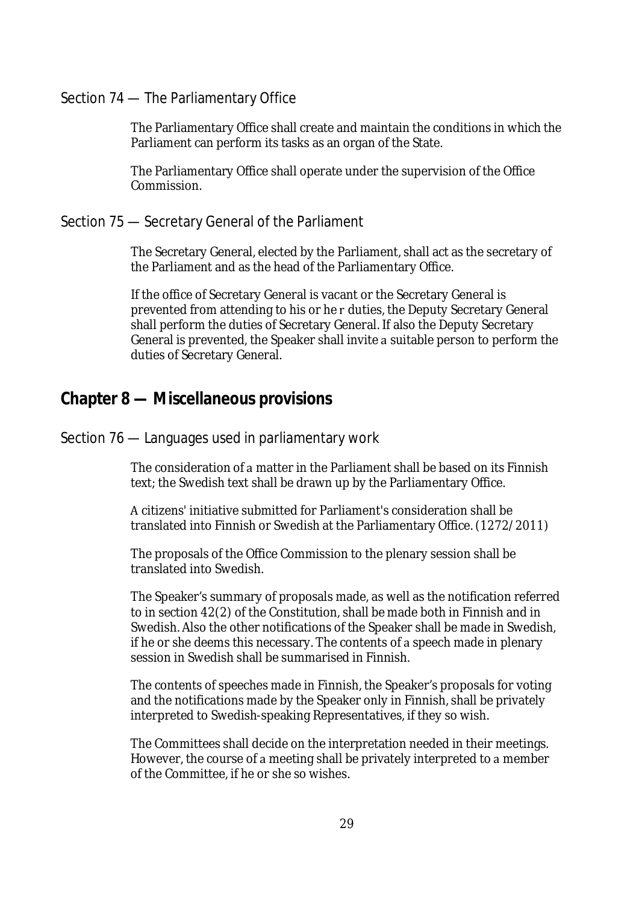# Section 74 — The Parliamentary Office

The Parliamentary Office shall create and maintain the conditions in which the Parliament can perform its tasks as an organ of the State.

The Parliamentary Office shall operate under the supervision of the Office Commission.

### Section 75 — Secretary General of the Parliament

The Secretary General, elected by the Parliament, shall act as the secretary of the Parliament and as the head of the Parliamentary Office.

If the office of Secretary General is vacant or the Secretary General is prevented from attending to his or he r duties, the Deputy Secretary General shall perform the duties of Secretary General. If also the Deputy Secretary General is prevented, the Speaker shall invite a suitable person to perform the duties of Secretary General.

# **Chapter 8 — Miscellaneous provisions**

### Section 76 — Languages used in parliamentary work

The consideration of a matter in the Parliament shall be based on its Finnish text; the Swedish text shall be drawn up by the Parliamentary Office.

citizens' initiative submitted for Parliament's consideration shall be translated into Finnish or Swedish at the Parliamentary Office. (1272/2011)

The proposals of the Office Commission to the plenary session shall be translated into Swedish.

The Speaker's summary of proposals made, as well as the notification referred to in section 42(2) of the Constitution, shall be made both in Finnish and in Swedish. Also the other notifications of the Speaker shall be made in Swedish, if he or she deems this necessary. The contents of a speech made in plenary session in Swedish shall be summarised in Finnish.

The contents of speeches made in Finnish, the Speaker's proposals for voting and the notifications made by the Speaker only in Finnish, shall be privately interpreted to Swedish-speaking Representatives, if they so wish.

The Committees shall decide on the interpretation needed in their meetings. However, the course of a meeting shall be privately interpreted to a member of the Committee, if he or she so wishes.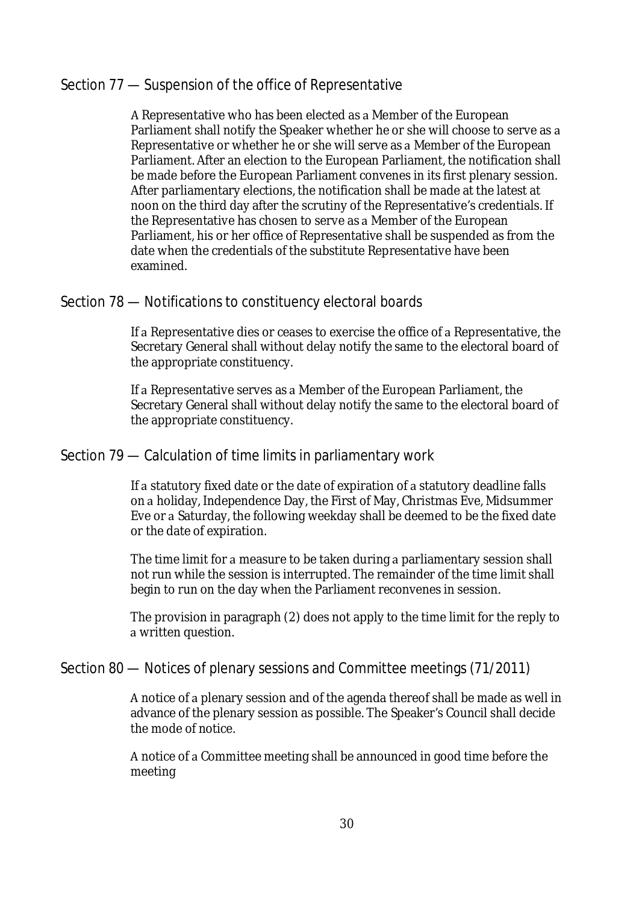# Section 77 — Suspension of the office of Representative

A Representative who has been elected as a Member of the European Parliament shall notify the Speaker whether he or she will choose to serve as a Representative or whether he or she will serve as a Member of the European Parliament. After an election to the European Parliament, the notification shall be made before the European Parliament convenes in its first plenary session. After parliamentary elections, the notification shall be made at the latest at noon on the third day after the scrutiny of the Representative's credentials. If the Representative has chosen to serve as a Member of the European Parliament, his or her office of Representative shall be suspended as from the date when the credentials of the substitute Representative have been examined.

### Section 78 — Notifications to constituency electoral boards

If a Representative dies or ceases to exercise the office of a Representative, the Secretary General shall without delay notify the same to the electoral board of the appropriate constituency.

If a Representative serves as a Member of the European Parliament, the Secretary General shall without delay notify the same to the electoral board of the appropriate constituency.

### Section 79 — Calculation of time limits in parliamentary work

If a statutory fixed date or the date of expiration of a statutory deadline falls on a holiday, Independence Day, the First of May, Christmas Eve, Midsummer Eve or a Saturday, the following weekday shall be deemed to be the fixed date or the date of expiration.

The time limit for a measure to be taken during a parliamentary session shall not run while the session is interrupted. The remainder of the time limit shall begin to run on the day when the Parliament reconvenes in session.

The provision in paragraph (2) does not apply to the time limit for the reply to written question.

# Section 80 — Notices of plenary sessions and Committee meetings (71/2011)

A notice of a plenary session and of the agenda thereof shall be made as well in advance of the plenary session as possible. The Speaker's Council shall decide the mode of notice.

A notice of a Committee meeting shall be announced in good time before the meeting